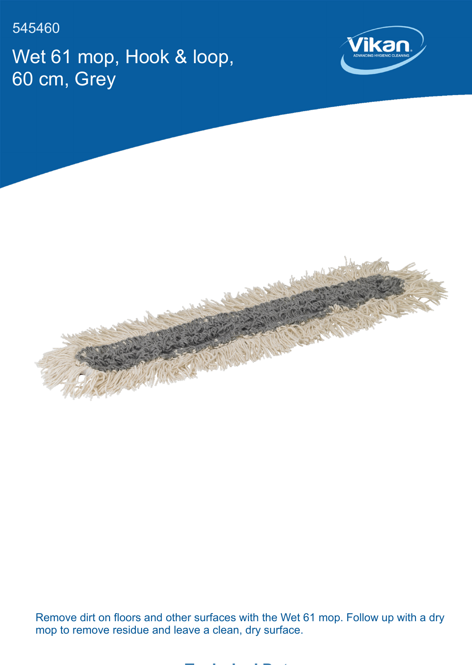545460

Wet 61 mop, Hook & loop, 60 cm, Grey





Remove dirt on floors and other surfaces with the Wet 61 mop. Follow up with a dry mop to remove residue and leave a clean, dry surface.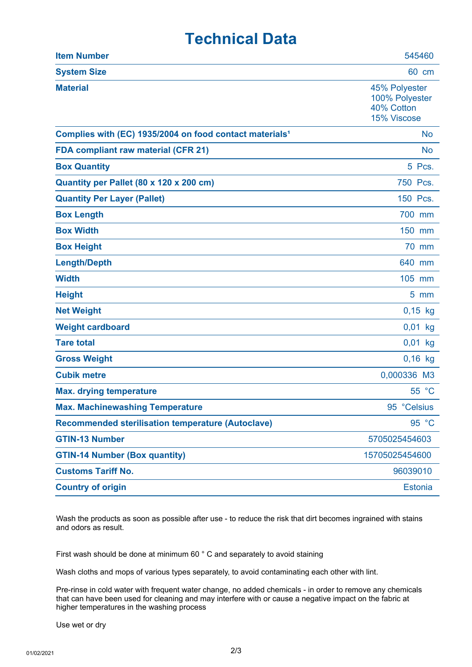## **Technical Data**

| <b>Item Number</b>                                                  | 545460                                                       |
|---------------------------------------------------------------------|--------------------------------------------------------------|
| <b>System Size</b>                                                  | 60 cm                                                        |
| <b>Material</b>                                                     | 45% Polyester<br>100% Polyester<br>40% Cotton<br>15% Viscose |
| Complies with (EC) 1935/2004 on food contact materials <sup>1</sup> | <b>No</b>                                                    |
| FDA compliant raw material (CFR 21)                                 | <b>No</b>                                                    |
| <b>Box Quantity</b>                                                 | 5 Pcs.                                                       |
| Quantity per Pallet (80 x 120 x 200 cm)                             | 750 Pcs.                                                     |
| <b>Quantity Per Layer (Pallet)</b>                                  | 150 Pcs.                                                     |
| <b>Box Length</b>                                                   | 700 mm                                                       |
| <b>Box Width</b>                                                    | 150 mm                                                       |
| <b>Box Height</b>                                                   | <b>70 mm</b>                                                 |
| <b>Length/Depth</b>                                                 | 640 mm                                                       |
| <b>Width</b>                                                        | 105 mm                                                       |
| <b>Height</b>                                                       | $5 \, \text{mm}$                                             |
| <b>Net Weight</b>                                                   | $0,15$ kg                                                    |
| <b>Weight cardboard</b>                                             | $0,01$ kg                                                    |
| <b>Tare total</b>                                                   | $0,01$ kg                                                    |
| <b>Gross Weight</b>                                                 | $0,16$ kg                                                    |
| <b>Cubik metre</b>                                                  | 0,000336 M3                                                  |
| <b>Max. drying temperature</b>                                      | 55 °C                                                        |
| <b>Max. Machinewashing Temperature</b>                              | 95 °Celsius                                                  |
| <b>Recommended sterilisation temperature (Autoclave)</b>            | 95 °C                                                        |
| <b>GTIN-13 Number</b>                                               | 5705025454603                                                |
| <b>GTIN-14 Number (Box quantity)</b>                                | 15705025454600                                               |
| <b>Customs Tariff No.</b>                                           | 96039010                                                     |
| <b>Country of origin</b>                                            | <b>Estonia</b>                                               |

Wash the products as soon as possible after use - to reduce the risk that dirt becomes ingrained with stains and odors as result.

First wash should be done at minimum 60 ° C and separately to avoid staining

Wash cloths and mops of various types separately, to avoid contaminating each other with lint.

Pre-rinse in cold water with frequent water change, no added chemicals - in order to remove any chemicals that can have been used for cleaning and may interfere with or cause a negative impact on the fabric at higher temperatures in the washing process

Use wet or dry